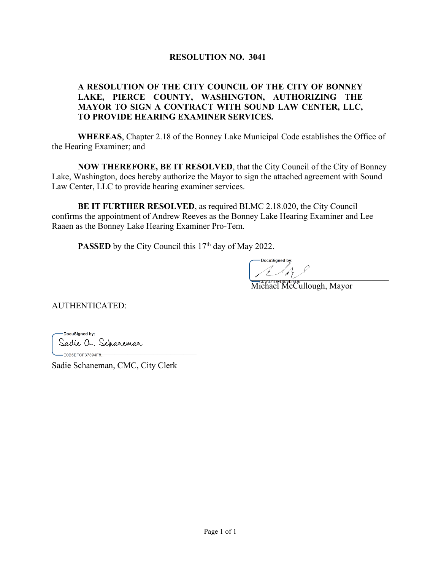## **RESOLUTION NO. 3041**

## **A RESOLUTION OF THE CITY COUNCIL OF THE CITY OF BONNEY LAKE, PIERCE COUNTY, WASHINGTON, AUTHORIZING THE MAYOR TO SIGN A CONTRACT WITH SOUND LAW CENTER, LLC, TO PROVIDE HEARING EXAMINER SERVICES.**

**WHEREAS**, Chapter 2.18 of the Bonney Lake Municipal Code establishes the Office of the Hearing Examiner; and

**NOW THEREFORE, BE IT RESOLVED**, that the City Council of the City of Bonney Lake, Washington, does hereby authorize the Mayor to sign the attached agreement with Sound Law Center, LLC to provide hearing examiner services.

**BE IT FURTHER RESOLVED**, as required BLMC 2.18.020, the City Council confirms the appointment of Andrew Reeves as the Bonney Lake Hearing Examiner and Lee Raaen as the Bonney Lake Hearing Examiner Pro-Tem.

PASSED by the City Council this 17<sup>th</sup> day of May 2022.

**DocuSianed b**  $\frac{1}{2}$ 

Michael McCullough, Mayor

AUTHENTICATED:

-<br>E0B5EFCF37394F8...

DocuSigned by: Sadie a. Schaneman

Sadie Schaneman, CMC, City Clerk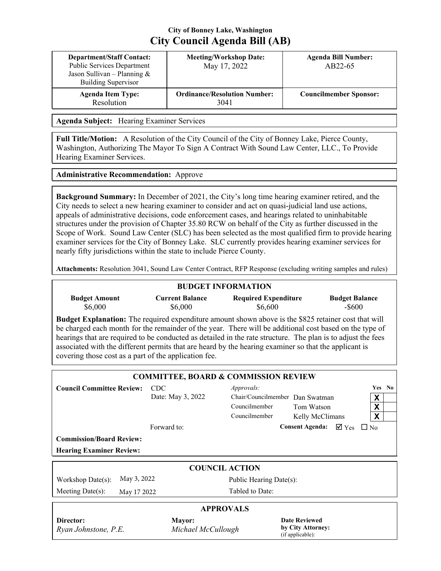# **City of Bonney Lake, Washington City Council Agenda Bill (AB)**

| <b>Department/Staff Contact:</b><br>Public Services Department<br>Jason Sullivan - Planning $&$<br><b>Building Supervisor</b> | <b>Meeting/Workshop Date:</b><br>May 17, 2022 | <b>Agenda Bill Number:</b><br>AB22-65 |
|-------------------------------------------------------------------------------------------------------------------------------|-----------------------------------------------|---------------------------------------|
| <b>Agenda Item Type:</b><br>Resolution                                                                                        | <b>Ordinance/Resolution Number:</b><br>3041   | <b>Councilmember Sponsor:</b>         |

**Agenda Subject:** Hearing Examiner Services

**Full Title/Motion:** A Resolution of the City Council of the City of Bonney Lake, Pierce County, Washington, Authorizing The Mayor To Sign A Contract With Sound Law Center, LLC., To Provide Hearing Examiner Services.

**Administrative Recommendation:** Approve

**Background Summary:** In December of 2021, the City's long time hearing examiner retired, and the City needs to select a new hearing examiner to consider and act on quasi-judicial land use actions, appeals of administrative decisions, code enforcement cases, and hearings related to uninhabitable structures under the provision of Chapter 35.80 RCW on behalf of the City as further discussed in the Scope of Work. Sound Law Center (SLC) has been selected as the most qualified firm to provide hearing examiner services for the City of Bonney Lake. SLC currently provides hearing examiner services for nearly fifty jurisdictions within the state to include Pierce County.

**Attachments:** Resolution 3041, Sound Law Center Contract, RFP Response (excluding writing samples and rules)

# **BUDGET INFORMATION**

**Budget Amount** \$6,000

*Ryan Johnstone, P.E.*



**Required Expenditure** \$6,600

> **by City Attorney:**  (if applicable):

**Budget Balance** -\$600

**Budget Explanation:** The required expenditure amount shown above is the \$825 retainer cost that will be charged each month for the remainder of the year. There will be additional cost based on the type of hearings that are required to be conducted as detailed in the rate structure. The plan is to adjust the fees associated with the different permits that are heard by the hearing examiner so that the applicant is covering those cost as a part of the application fee.

#### **COMMITTEE, BOARD & COMMISSION REVIEW** *Approvals:* **Yes No** Chair/Councilmember Dan Swatman **X** Councilmember Tom Watson **X Council Committee Review:** CDC Date: May 3, 2022 Councilmember Kelly McClimans **X** Forward to: **Consent Agenda: Ø** Yes □ No **Commission/Board Review: Hearing Examiner Review: COUNCIL ACTION** Workshop Date(s): May 3, 2022 Public Hearing Date(s): Meeting Date(s): May 17 2022 Tabled to Date: **APPROVALS Director: Mayor: Date Reviewed**  May 17 2022 May 3, 2022

*Michael McCullough*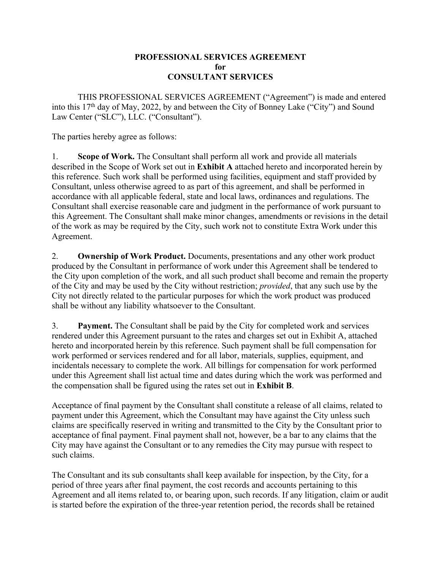#### **PROFESSIONAL SERVICES AGREEMENT for CONSULTANT SERVICES**

 THIS PROFESSIONAL SERVICES AGREEMENT ("Agreement") is made and entered into this 17<sup>th</sup> day of May, 2022, by and between the City of Bonney Lake ("City") and Sound Law Center ("SLC"), LLC. ("Consultant").

The parties hereby agree as follows:

1. **Scope of Work.** The Consultant shall perform all work and provide all materials described in the Scope of Work set out in **Exhibit A** attached hereto and incorporated herein by this reference. Such work shall be performed using facilities, equipment and staff provided by Consultant, unless otherwise agreed to as part of this agreement, and shall be performed in accordance with all applicable federal, state and local laws, ordinances and regulations. The Consultant shall exercise reasonable care and judgment in the performance of work pursuant to this Agreement. The Consultant shall make minor changes, amendments or revisions in the detail of the work as may be required by the City, such work not to constitute Extra Work under this Agreement.

2. **Ownership of Work Product.** Documents, presentations and any other work product produced by the Consultant in performance of work under this Agreement shall be tendered to the City upon completion of the work, and all such product shall become and remain the property of the City and may be used by the City without restriction; *provided*, that any such use by the City not directly related to the particular purposes for which the work product was produced shall be without any liability whatsoever to the Consultant.

3. **Payment.** The Consultant shall be paid by the City for completed work and services rendered under this Agreement pursuant to the rates and charges set out in Exhibit A, attached hereto and incorporated herein by this reference. Such payment shall be full compensation for work performed or services rendered and for all labor, materials, supplies, equipment, and incidentals necessary to complete the work. All billings for compensation for work performed under this Agreement shall list actual time and dates during which the work was performed and the compensation shall be figured using the rates set out in **Exhibit B**.

Acceptance of final payment by the Consultant shall constitute a release of all claims, related to payment under this Agreement, which the Consultant may have against the City unless such claims are specifically reserved in writing and transmitted to the City by the Consultant prior to acceptance of final payment. Final payment shall not, however, be a bar to any claims that the City may have against the Consultant or to any remedies the City may pursue with respect to such claims.

The Consultant and its sub consultants shall keep available for inspection, by the City, for a period of three years after final payment, the cost records and accounts pertaining to this Agreement and all items related to, or bearing upon, such records. If any litigation, claim or audit is started before the expiration of the three-year retention period, the records shall be retained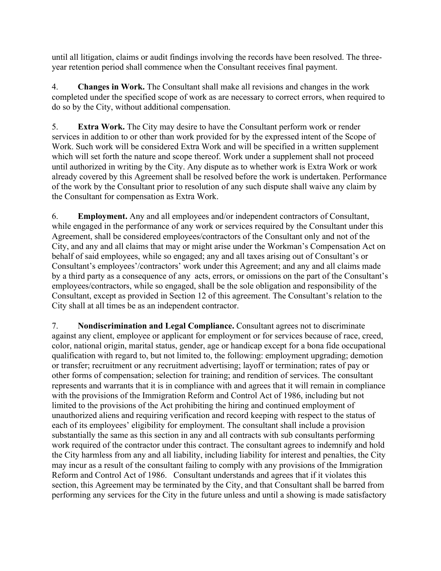until all litigation, claims or audit findings involving the records have been resolved. The threeyear retention period shall commence when the Consultant receives final payment.

4. **Changes in Work.** The Consultant shall make all revisions and changes in the work completed under the specified scope of work as are necessary to correct errors, when required to do so by the City, without additional compensation.

5. **Extra Work.** The City may desire to have the Consultant perform work or render services in addition to or other than work provided for by the expressed intent of the Scope of Work. Such work will be considered Extra Work and will be specified in a written supplement which will set forth the nature and scope thereof. Work under a supplement shall not proceed until authorized in writing by the City. Any dispute as to whether work is Extra Work or work already covered by this Agreement shall be resolved before the work is undertaken. Performance of the work by the Consultant prior to resolution of any such dispute shall waive any claim by the Consultant for compensation as Extra Work.

6. **Employment.** Any and all employees and/or independent contractors of Consultant, while engaged in the performance of any work or services required by the Consultant under this Agreement, shall be considered employees/contractors of the Consultant only and not of the City, and any and all claims that may or might arise under the Workman's Compensation Act on behalf of said employees, while so engaged; any and all taxes arising out of Consultant's or Consultant's employees'/contractors' work under this Agreement; and any and all claims made by a third party as a consequence of any acts, errors, or omissions on the part of the Consultant's employees/contractors, while so engaged, shall be the sole obligation and responsibility of the Consultant, except as provided in Section 12 of this agreement. The Consultant's relation to the City shall at all times be as an independent contractor.

7. **Nondiscrimination and Legal Compliance.** Consultant agrees not to discriminate against any client, employee or applicant for employment or for services because of race, creed, color, national origin, marital status, gender, age or handicap except for a bona fide occupational qualification with regard to, but not limited to, the following: employment upgrading; demotion or transfer; recruitment or any recruitment advertising; layoff or termination; rates of pay or other forms of compensation; selection for training; and rendition of services. The consultant represents and warrants that it is in compliance with and agrees that it will remain in compliance with the provisions of the Immigration Reform and Control Act of 1986, including but not limited to the provisions of the Act prohibiting the hiring and continued employment of unauthorized aliens and requiring verification and record keeping with respect to the status of each of its employees' eligibility for employment. The consultant shall include a provision substantially the same as this section in any and all contracts with sub consultants performing work required of the contractor under this contract. The consultant agrees to indemnify and hold the City harmless from any and all liability, including liability for interest and penalties, the City may incur as a result of the consultant failing to comply with any provisions of the Immigration Reform and Control Act of 1986. Consultant understands and agrees that if it violates this section, this Agreement may be terminated by the City, and that Consultant shall be barred from performing any services for the City in the future unless and until a showing is made satisfactory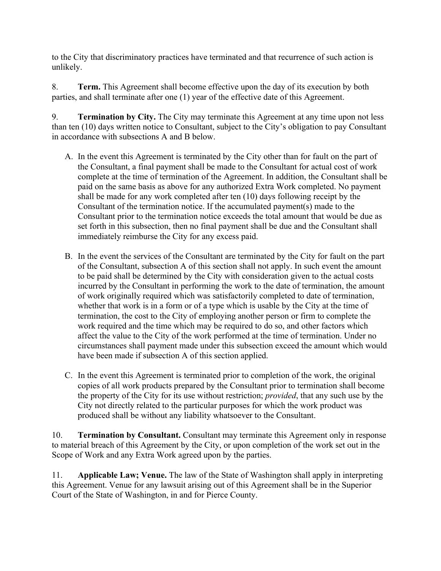to the City that discriminatory practices have terminated and that recurrence of such action is unlikely.

8. **Term.** This Agreement shall become effective upon the day of its execution by both parties, and shall terminate after one (1) year of the effective date of this Agreement.

9. **Termination by City.** The City may terminate this Agreement at any time upon not less than ten (10) days written notice to Consultant, subject to the City's obligation to pay Consultant in accordance with subsections A and B below.

- A. In the event this Agreement is terminated by the City other than for fault on the part of the Consultant, a final payment shall be made to the Consultant for actual cost of work complete at the time of termination of the Agreement. In addition, the Consultant shall be paid on the same basis as above for any authorized Extra Work completed. No payment shall be made for any work completed after ten (10) days following receipt by the Consultant of the termination notice. If the accumulated payment(s) made to the Consultant prior to the termination notice exceeds the total amount that would be due as set forth in this subsection, then no final payment shall be due and the Consultant shall immediately reimburse the City for any excess paid.
- B. In the event the services of the Consultant are terminated by the City for fault on the part of the Consultant, subsection A of this section shall not apply. In such event the amount to be paid shall be determined by the City with consideration given to the actual costs incurred by the Consultant in performing the work to the date of termination, the amount of work originally required which was satisfactorily completed to date of termination, whether that work is in a form or of a type which is usable by the City at the time of termination, the cost to the City of employing another person or firm to complete the work required and the time which may be required to do so, and other factors which affect the value to the City of the work performed at the time of termination. Under no circumstances shall payment made under this subsection exceed the amount which would have been made if subsection A of this section applied.
- C. In the event this Agreement is terminated prior to completion of the work, the original copies of all work products prepared by the Consultant prior to termination shall become the property of the City for its use without restriction; *provided*, that any such use by the City not directly related to the particular purposes for which the work product was produced shall be without any liability whatsoever to the Consultant.

10. **Termination by Consultant.** Consultant may terminate this Agreement only in response to material breach of this Agreement by the City, or upon completion of the work set out in the Scope of Work and any Extra Work agreed upon by the parties.

11. **Applicable Law; Venue.** The law of the State of Washington shall apply in interpreting this Agreement. Venue for any lawsuit arising out of this Agreement shall be in the Superior Court of the State of Washington, in and for Pierce County.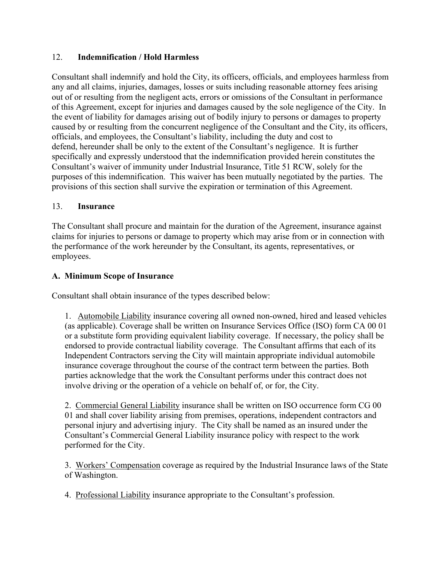## 12. **Indemnification / Hold Harmless**

Consultant shall indemnify and hold the City, its officers, officials, and employees harmless from any and all claims, injuries, damages, losses or suits including reasonable attorney fees arising out of or resulting from the negligent acts, errors or omissions of the Consultant in performance of this Agreement, except for injuries and damages caused by the sole negligence of the City. In the event of liability for damages arising out of bodily injury to persons or damages to property caused by or resulting from the concurrent negligence of the Consultant and the City, its officers, officials, and employees, the Consultant's liability, including the duty and cost to defend, hereunder shall be only to the extent of the Consultant's negligence. It is further specifically and expressly understood that the indemnification provided herein constitutes the Consultant's waiver of immunity under Industrial Insurance, Title 51 RCW, solely for the purposes of this indemnification. This waiver has been mutually negotiated by the parties. The provisions of this section shall survive the expiration or termination of this Agreement.

#### 13. **Insurance**

The Consultant shall procure and maintain for the duration of the Agreement, insurance against claims for injuries to persons or damage to property which may arise from or in connection with the performance of the work hereunder by the Consultant, its agents, representatives, or employees.

#### **A. Minimum Scope of Insurance**

Consultant shall obtain insurance of the types described below:

1. Automobile Liability insurance covering all owned non-owned, hired and leased vehicles (as applicable). Coverage shall be written on Insurance Services Office (ISO) form CA 00 01 or a substitute form providing equivalent liability coverage. If necessary, the policy shall be endorsed to provide contractual liability coverage. The Consultant affirms that each of its Independent Contractors serving the City will maintain appropriate individual automobile insurance coverage throughout the course of the contract term between the parties. Both parties acknowledge that the work the Consultant performs under this contract does not involve driving or the operation of a vehicle on behalf of, or for, the City.

2. Commercial General Liability insurance shall be written on ISO occurrence form CG 00 01 and shall cover liability arising from premises, operations, independent contractors and personal injury and advertising injury. The City shall be named as an insured under the Consultant's Commercial General Liability insurance policy with respect to the work performed for the City.

3. Workers' Compensation coverage as required by the Industrial Insurance laws of the State of Washington.

4. Professional Liability insurance appropriate to the Consultant's profession.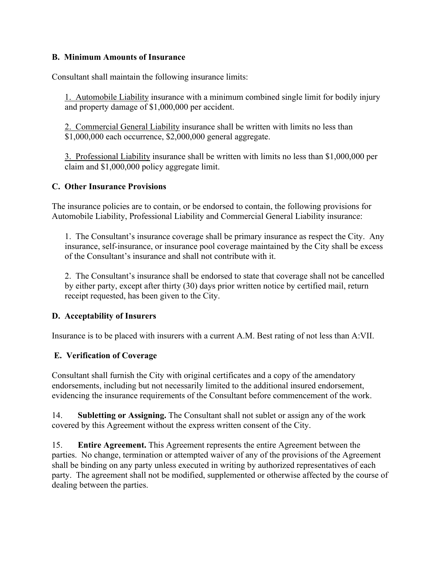## **B. Minimum Amounts of Insurance**

Consultant shall maintain the following insurance limits:

1. Automobile Liability insurance with a minimum combined single limit for bodily injury and property damage of \$1,000,000 per accident.

2. Commercial General Liability insurance shall be written with limits no less than \$1,000,000 each occurrence, \$2,000,000 general aggregate.

3. Professional Liability insurance shall be written with limits no less than \$1,000,000 per claim and \$1,000,000 policy aggregate limit.

#### **C. Other Insurance Provisions**

The insurance policies are to contain, or be endorsed to contain, the following provisions for Automobile Liability, Professional Liability and Commercial General Liability insurance:

1. The Consultant's insurance coverage shall be primary insurance as respect the City. Any insurance, self-insurance, or insurance pool coverage maintained by the City shall be excess of the Consultant's insurance and shall not contribute with it.

2. The Consultant's insurance shall be endorsed to state that coverage shall not be cancelled by either party, except after thirty (30) days prior written notice by certified mail, return receipt requested, has been given to the City.

## **D. Acceptability of Insurers**

Insurance is to be placed with insurers with a current A.M. Best rating of not less than A:VII.

## **E. Verification of Coverage**

Consultant shall furnish the City with original certificates and a copy of the amendatory endorsements, including but not necessarily limited to the additional insured endorsement, evidencing the insurance requirements of the Consultant before commencement of the work.

14. **Subletting or Assigning.** The Consultant shall not sublet or assign any of the work covered by this Agreement without the express written consent of the City.

15. **Entire Agreement.** This Agreement represents the entire Agreement between the parties. No change, termination or attempted waiver of any of the provisions of the Agreement shall be binding on any party unless executed in writing by authorized representatives of each party. The agreement shall not be modified, supplemented or otherwise affected by the course of dealing between the parties.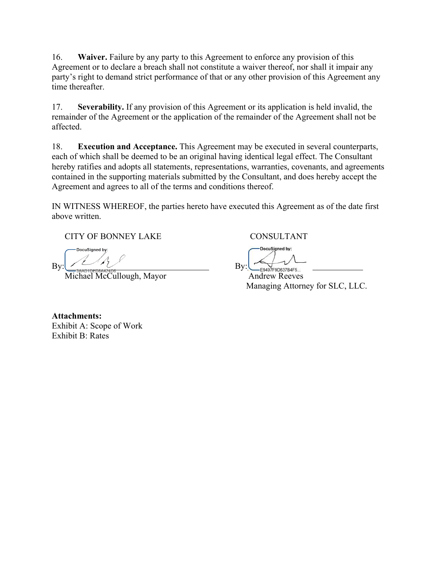16. **Waiver.** Failure by any party to this Agreement to enforce any provision of this Agreement or to declare a breach shall not constitute a waiver thereof, nor shall it impair any party's right to demand strict performance of that or any other provision of this Agreement any time thereafter.

17. **Severability.** If any provision of this Agreement or its application is held invalid, the remainder of the Agreement or the application of the remainder of the Agreement shall not be affected.

18. **Execution and Acceptance.** This Agreement may be executed in several counterparts, each of which shall be deemed to be an original having identical legal effect. The Consultant hereby ratifies and adopts all statements, representations, warranties, covenants, and agreements contained in the supporting materials submitted by the Consultant, and does hereby accept the Agreement and agrees to all of the terms and conditions thereof.

IN WITNESS WHEREOF, the parties hereto have executed this Agreement as of the date first above written.

CITY OF BONNEY LAKE CONSULTANT

**DocuSianed by:**  $\mathbf{B} \mathbf{y}:$  By:

Michael McCullough, Mayor Andrew Reeves

Docu Signed by: E9497F9D637B4F5...

Managing Attorney for SLC, LLC.

**Attachments:** Exhibit A: Scope of Work Exhibit B: Rates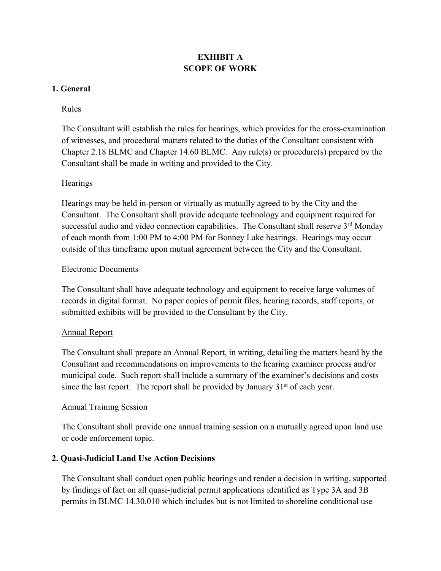# **EXHIBIT A SCOPE OF WORK**

## **1. General**

## Rules

The Consultant will establish the rules for hearings, which provides for the cross-examination of witnesses, and procedural matters related to the duties of the Consultant consistent with Chapter 2.18 BLMC and Chapter 14.60 BLMC. Any rule(s) or procedure(s) prepared by the Consultant shall be made in writing and provided to the City.

## **Hearings**

Hearings may be held in-person or virtually as mutually agreed to by the City and the Consultant. The Consultant shall provide adequate technology and equipment required for successful audio and video connection capabilities. The Consultant shall reserve 3<sup>rd</sup> Monday of each month from 1:00 PM to 4:00 PM for Bonney Lake hearings. Hearings may occur outside of this timeframe upon mutual agreement between the City and the Consultant.

## Electronic Documents

The Consultant shall have adequate technology and equipment to receive large volumes of records in digital format. No paper copies of permit files, hearing records, staff reports, or submitted exhibits will be provided to the Consultant by the City.

# Annual Report

The Consultant shall prepare an Annual Report, in writing, detailing the matters heard by the Consultant and recommendations on improvements to the hearing examiner process and/or municipal code. Such report shall include a summary of the examiner's decisions and costs since the last report. The report shall be provided by January  $31<sup>st</sup>$  of each year.

# Annual Training Session

The Consultant shall provide one annual training session on a mutually agreed upon land use or code enforcement topic.

# **2. Quasi-Judicial Land Use Action Decisions**

The Consultant shall conduct open public hearings and render a decision in writing, supported by findings of fact on all quasi-judicial permit applications identified as Type 3A and 3B permits in BLMC 14.30.010 which includes but is not limited to shoreline conditional use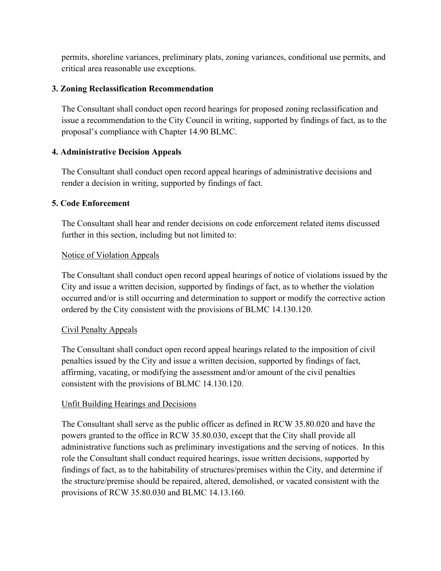permits, shoreline variances, preliminary plats, zoning variances, conditional use permits, and critical area reasonable use exceptions.

## **3. Zoning Reclassification Recommendation**

The Consultant shall conduct open record hearings for proposed zoning reclassification and issue a recommendation to the City Council in writing, supported by findings of fact, as to the proposal's compliance with Chapter 14.90 BLMC.

## **4. Administrative Decision Appeals**

The Consultant shall conduct open record appeal hearings of administrative decisions and render a decision in writing, supported by findings of fact.

## **5. Code Enforcement**

The Consultant shall hear and render decisions on code enforcement related items discussed further in this section, including but not limited to:

## Notice of Violation Appeals

The Consultant shall conduct open record appeal hearings of notice of violations issued by the City and issue a written decision, supported by findings of fact, as to whether the violation occurred and/or is still occurring and determination to support or modify the corrective action ordered by the City consistent with the provisions of BLMC 14.130.120.

## Civil Penalty Appeals

The Consultant shall conduct open record appeal hearings related to the imposition of civil penalties issued by the City and issue a written decision, supported by findings of fact, affirming, vacating, or modifying the assessment and/or amount of the civil penalties consistent with the provisions of BLMC 14.130.120.

## Unfit Building Hearings and Decisions

The Consultant shall serve as the public officer as defined in RCW 35.80.020 and have the powers granted to the office in RCW 35.80.030, except that the City shall provide all administrative functions such as preliminary investigations and the serving of notices. In this role the Consultant shall conduct required hearings, issue written decisions, supported by findings of fact, as to the habitability of structures/premises within the City, and determine if the structure/premise should be repaired, altered, demolished, or vacated consistent with the provisions of RCW 35.80.030 and BLMC 14.13.160.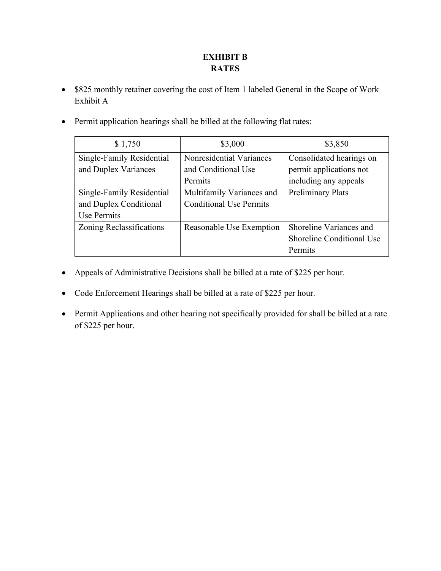# **EXHIBIT B RATES**

- $\bullet$  \$825 monthly retainer covering the cost of Item 1 labeled General in the Scope of Work Exhibit A
- Permit application hearings shall be billed at the following flat rates:

| \$1,750                   | \$3,000                        | \$3,850                   |
|---------------------------|--------------------------------|---------------------------|
| Single-Family Residential | Nonresidential Variances       | Consolidated hearings on  |
| and Duplex Variances      | and Conditional Use            | permit applications not   |
|                           | Permits                        | including any appeals     |
| Single-Family Residential | Multifamily Variances and      | <b>Preliminary Plats</b>  |
| and Duplex Conditional    | <b>Conditional Use Permits</b> |                           |
| Use Permits               |                                |                           |
| Zoning Reclassifications  | Reasonable Use Exemption       | Shoreline Variances and   |
|                           |                                | Shoreline Conditional Use |
|                           |                                | Permits                   |

- Appeals of Administrative Decisions shall be billed at a rate of \$225 per hour.
- Code Enforcement Hearings shall be billed at a rate of \$225 per hour.
- Permit Applications and other hearing not specifically provided for shall be billed at a rate of \$225 per hour.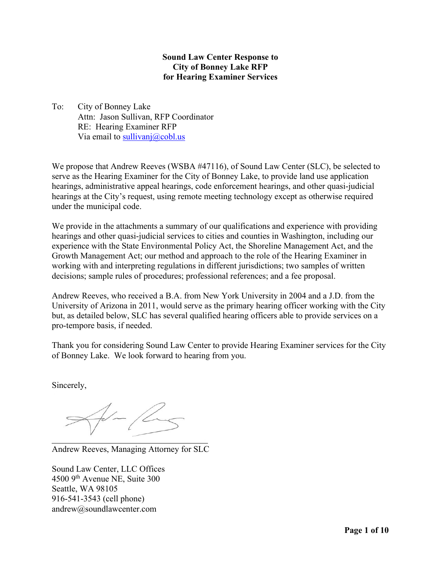#### **Sound Law Center Response to City of Bonney Lake RFP for Hearing Examiner Services**

To: City of Bonney Lake Attn: Jason Sullivan, RFP Coordinator RE: Hearing Examiner RFP Via email to sullivanj $(\partial \text{cobl.us})$ 

We propose that Andrew Reeves (WSBA #47116), of Sound Law Center (SLC), be selected to serve as the Hearing Examiner for the City of Bonney Lake, to provide land use application hearings, administrative appeal hearings, code enforcement hearings, and other quasi-judicial hearings at the City's request, using remote meeting technology except as otherwise required under the municipal code.

We provide in the attachments a summary of our qualifications and experience with providing hearings and other quasi-judicial services to cities and counties in Washington, including our experience with the State Environmental Policy Act, the Shoreline Management Act, and the Growth Management Act; our method and approach to the role of the Hearing Examiner in working with and interpreting regulations in different jurisdictions; two samples of written decisions; sample rules of procedures; professional references; and a fee proposal.

Andrew Reeves, who received a B.A. from New York University in 2004 and a J.D. from the University of Arizona in 2011, would serve as the primary hearing officer working with the City but, as detailed below, SLC has several qualified hearing officers able to provide services on a pro-tempore basis, if needed.

Thank you for considering Sound Law Center to provide Hearing Examiner services for the City of Bonney Lake. We look forward to hearing from you.

Sincerely,

Andrew Reeves, Managing Attorney for SLC

Sound Law Center, LLC Offices 4500 9th Avenue NE, Suite 300 Seattle, WA 98105 916-541-3543 (cell phone) andrew@soundlawcenter.com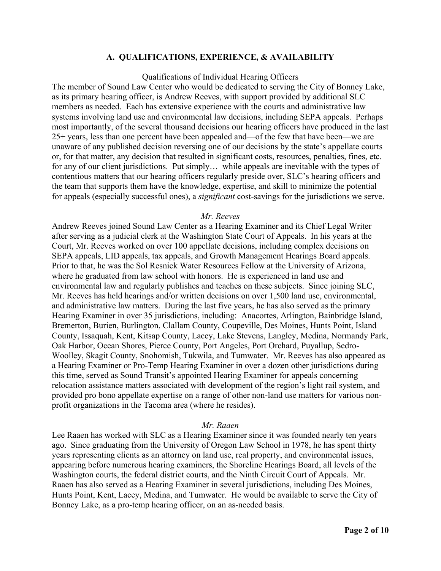#### **A. QUALIFICATIONS, EXPERIENCE, & AVAILABILITY**

#### Qualifications of Individual Hearing Officers

The member of Sound Law Center who would be dedicated to serving the City of Bonney Lake, as its primary hearing officer, is Andrew Reeves, with support provided by additional SLC members as needed. Each has extensive experience with the courts and administrative law systems involving land use and environmental law decisions, including SEPA appeals. Perhaps most importantly, of the several thousand decisions our hearing officers have produced in the last 25+ years, less than one percent have been appealed and—of the few that have been—we are unaware of any published decision reversing one of our decisions by the state's appellate courts or, for that matter, any decision that resulted in significant costs, resources, penalties, fines, etc. for any of our client jurisdictions. Put simply… while appeals are inevitable with the types of contentious matters that our hearing officers regularly preside over, SLC's hearing officers and the team that supports them have the knowledge, expertise, and skill to minimize the potential for appeals (especially successful ones), a *significant* cost-savings for the jurisdictions we serve.

#### *Mr. Reeves*

Andrew Reeves joined Sound Law Center as a Hearing Examiner and its Chief Legal Writer after serving as a judicial clerk at the Washington State Court of Appeals. In his years at the Court, Mr. Reeves worked on over 100 appellate decisions, including complex decisions on SEPA appeals, LID appeals, tax appeals, and Growth Management Hearings Board appeals. Prior to that, he was the Sol Resnick Water Resources Fellow at the University of Arizona, where he graduated from law school with honors. He is experienced in land use and environmental law and regularly publishes and teaches on these subjects. Since joining SLC, Mr. Reeves has held hearings and/or written decisions on over 1,500 land use, environmental, and administrative law matters. During the last five years, he has also served as the primary Hearing Examiner in over 35 jurisdictions, including: Anacortes, Arlington, Bainbridge Island, Bremerton, Burien, Burlington, Clallam County, Coupeville, Des Moines, Hunts Point, Island County, Issaquah, Kent, Kitsap County, Lacey, Lake Stevens, Langley, Medina, Normandy Park, Oak Harbor, Ocean Shores, Pierce County, Port Angeles, Port Orchard, Puyallup, Sedro-Woolley, Skagit County, Snohomish, Tukwila, and Tumwater. Mr. Reeves has also appeared as a Hearing Examiner or Pro-Temp Hearing Examiner in over a dozen other jurisdictions during this time, served as Sound Transit's appointed Hearing Examiner for appeals concerning relocation assistance matters associated with development of the region's light rail system, and provided pro bono appellate expertise on a range of other non-land use matters for various nonprofit organizations in the Tacoma area (where he resides).

#### *Mr. Raaen*

Lee Raaen has worked with SLC as a Hearing Examiner since it was founded nearly ten years ago. Since graduating from the University of Oregon Law School in 1978, he has spent thirty years representing clients as an attorney on land use, real property, and environmental issues, appearing before numerous hearing examiners, the Shoreline Hearings Board, all levels of the Washington courts, the federal district courts, and the Ninth Circuit Court of Appeals. Mr. Raaen has also served as a Hearing Examiner in several jurisdictions, including Des Moines, Hunts Point, Kent, Lacey, Medina, and Tumwater. He would be available to serve the City of Bonney Lake, as a pro-temp hearing officer, on an as-needed basis.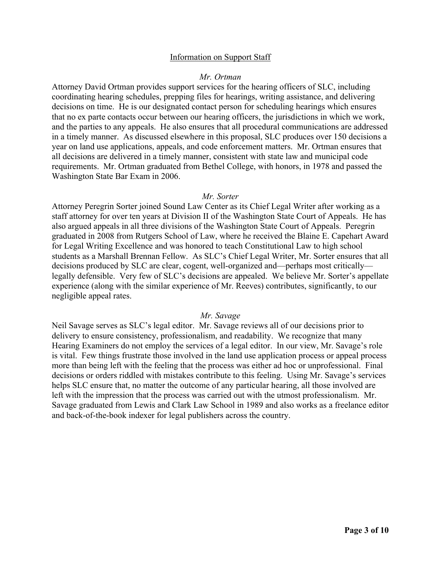#### Information on Support Staff

#### *Mr. Ortman*

Attorney David Ortman provides support services for the hearing officers of SLC, including coordinating hearing schedules, prepping files for hearings, writing assistance, and delivering decisions on time. He is our designated contact person for scheduling hearings which ensures that no ex parte contacts occur between our hearing officers, the jurisdictions in which we work, and the parties to any appeals. He also ensures that all procedural communications are addressed in a timely manner. As discussed elsewhere in this proposal, SLC produces over 150 decisions a year on land use applications, appeals, and code enforcement matters. Mr. Ortman ensures that all decisions are delivered in a timely manner, consistent with state law and municipal code requirements. Mr. Ortman graduated from Bethel College, with honors, in 1978 and passed the Washington State Bar Exam in 2006.

#### *Mr. Sorter*

Attorney Peregrin Sorter joined Sound Law Center as its Chief Legal Writer after working as a staff attorney for over ten years at Division II of the Washington State Court of Appeals. He has also argued appeals in all three divisions of the Washington State Court of Appeals. Peregrin graduated in 2008 from Rutgers School of Law, where he received the Blaine E. Capehart Award for Legal Writing Excellence and was honored to teach Constitutional Law to high school students as a Marshall Brennan Fellow. As SLC's Chief Legal Writer, Mr. Sorter ensures that all decisions produced by SLC are clear, cogent, well-organized and—perhaps most critically legally defensible. Very few of SLC's decisions are appealed. We believe Mr. Sorter's appellate experience (along with the similar experience of Mr. Reeves) contributes, significantly, to our negligible appeal rates.

#### *Mr. Savage*

Neil Savage serves as SLC's legal editor. Mr. Savage reviews all of our decisions prior to delivery to ensure consistency, professionalism, and readability. We recognize that many Hearing Examiners do not employ the services of a legal editor. In our view, Mr. Savage's role is vital. Few things frustrate those involved in the land use application process or appeal process more than being left with the feeling that the process was either ad hoc or unprofessional. Final decisions or orders riddled with mistakes contribute to this feeling. Using Mr. Savage's services helps SLC ensure that, no matter the outcome of any particular hearing, all those involved are left with the impression that the process was carried out with the utmost professionalism. Mr. Savage graduated from Lewis and Clark Law School in 1989 and also works as a freelance editor and back-of-the-book indexer for legal publishers across the country.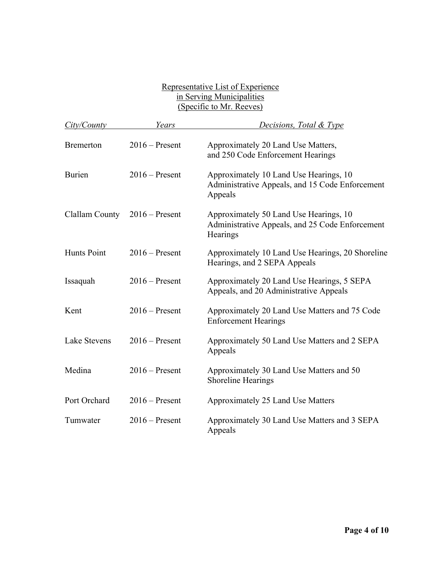## Representative List of Experience in Serving Municipalities (Specific to Mr. Reeves)

| City/County                   | Years            | Decisions, Total & Type                                                                               |
|-------------------------------|------------------|-------------------------------------------------------------------------------------------------------|
| <b>Bremerton</b>              | $2016$ – Present | Approximately 20 Land Use Matters,<br>and 250 Code Enforcement Hearings                               |
| <b>Burien</b>                 | $2016$ – Present | Approximately 10 Land Use Hearings, 10<br>Administrative Appeals, and 15 Code Enforcement<br>Appeals  |
| Clallam County 2016 – Present |                  | Approximately 50 Land Use Hearings, 10<br>Administrative Appeals, and 25 Code Enforcement<br>Hearings |
| Hunts Point                   | $2016$ – Present | Approximately 10 Land Use Hearings, 20 Shoreline<br>Hearings, and 2 SEPA Appeals                      |
| Issaquah                      | $2016$ – Present | Approximately 20 Land Use Hearings, 5 SEPA<br>Appeals, and 20 Administrative Appeals                  |
| Kent                          | $2016$ – Present | Approximately 20 Land Use Matters and 75 Code<br><b>Enforcement Hearings</b>                          |
| <b>Lake Stevens</b>           | $2016$ – Present | Approximately 50 Land Use Matters and 2 SEPA<br>Appeals                                               |
| Medina                        | $2016$ – Present | Approximately 30 Land Use Matters and 50<br><b>Shoreline Hearings</b>                                 |
| Port Orchard                  | $2016$ – Present | Approximately 25 Land Use Matters                                                                     |
| Tumwater                      | $2016$ – Present | Approximately 30 Land Use Matters and 3 SEPA<br>Appeals                                               |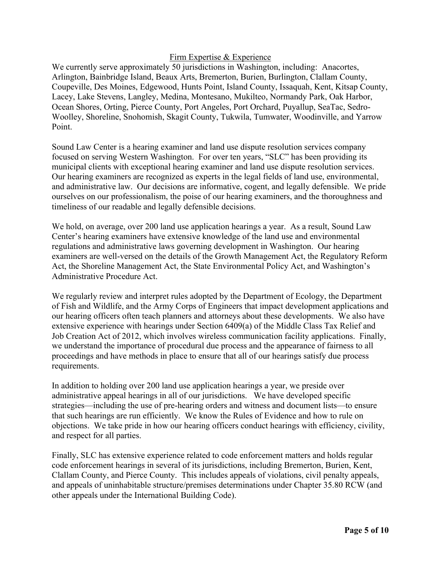#### Firm Expertise & Experience

We currently serve approximately 50 jurisdictions in Washington, including: Anacortes, Arlington, Bainbridge Island, Beaux Arts, Bremerton, Burien, Burlington, Clallam County, Coupeville, Des Moines, Edgewood, Hunts Point, Island County, Issaquah, Kent, Kitsap County, Lacey, Lake Stevens, Langley, Medina, Montesano, Mukilteo, Normandy Park, Oak Harbor, Ocean Shores, Orting, Pierce County, Port Angeles, Port Orchard, Puyallup, SeaTac, Sedro-Woolley, Shoreline, Snohomish, Skagit County, Tukwila, Tumwater, Woodinville, and Yarrow Point.

Sound Law Center is a hearing examiner and land use dispute resolution services company focused on serving Western Washington. For over ten years, "SLC" has been providing its municipal clients with exceptional hearing examiner and land use dispute resolution services. Our hearing examiners are recognized as experts in the legal fields of land use, environmental, and administrative law. Our decisions are informative, cogent, and legally defensible. We pride ourselves on our professionalism, the poise of our hearing examiners, and the thoroughness and timeliness of our readable and legally defensible decisions.

We hold, on average, over 200 land use application hearings a year. As a result, Sound Law Center's hearing examiners have extensive knowledge of the land use and environmental regulations and administrative laws governing development in Washington. Our hearing examiners are well-versed on the details of the Growth Management Act, the Regulatory Reform Act, the Shoreline Management Act, the State Environmental Policy Act, and Washington's Administrative Procedure Act.

We regularly review and interpret rules adopted by the Department of Ecology, the Department of Fish and Wildlife, and the Army Corps of Engineers that impact development applications and our hearing officers often teach planners and attorneys about these developments. We also have extensive experience with hearings under Section 6409(a) of the Middle Class Tax Relief and Job Creation Act of 2012, which involves wireless communication facility applications. Finally, we understand the importance of procedural due process and the appearance of fairness to all proceedings and have methods in place to ensure that all of our hearings satisfy due process requirements.

In addition to holding over 200 land use application hearings a year, we preside over administrative appeal hearings in all of our jurisdictions. We have developed specific strategies—including the use of pre-hearing orders and witness and document lists—to ensure that such hearings are run efficiently. We know the Rules of Evidence and how to rule on objections. We take pride in how our hearing officers conduct hearings with efficiency, civility, and respect for all parties.

Finally, SLC has extensive experience related to code enforcement matters and holds regular code enforcement hearings in several of its jurisdictions, including Bremerton, Burien, Kent, Clallam County, and Pierce County. This includes appeals of violations, civil penalty appeals, and appeals of uninhabitable structure/premises determinations under Chapter 35.80 RCW (and other appeals under the International Building Code).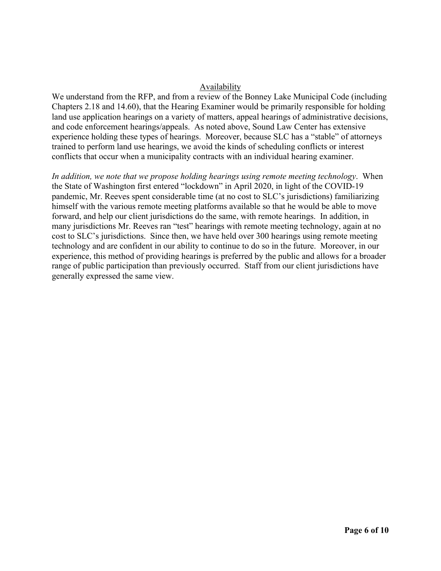#### Availability

We understand from the RFP, and from a review of the Bonney Lake Municipal Code (including Chapters 2.18 and 14.60), that the Hearing Examiner would be primarily responsible for holding land use application hearings on a variety of matters, appeal hearings of administrative decisions, and code enforcement hearings/appeals. As noted above, Sound Law Center has extensive experience holding these types of hearings. Moreover, because SLC has a "stable" of attorneys trained to perform land use hearings, we avoid the kinds of scheduling conflicts or interest conflicts that occur when a municipality contracts with an individual hearing examiner.

*In addition, we note that we propose holding hearings using remote meeting technology*. When the State of Washington first entered "lockdown" in April 2020, in light of the COVID-19 pandemic, Mr. Reeves spent considerable time (at no cost to SLC's jurisdictions) familiarizing himself with the various remote meeting platforms available so that he would be able to move forward, and help our client jurisdictions do the same, with remote hearings. In addition, in many jurisdictions Mr. Reeves ran "test" hearings with remote meeting technology, again at no cost to SLC's jurisdictions. Since then, we have held over 300 hearings using remote meeting technology and are confident in our ability to continue to do so in the future. Moreover, in our experience, this method of providing hearings is preferred by the public and allows for a broader range of public participation than previously occurred. Staff from our client jurisdictions have generally expressed the same view.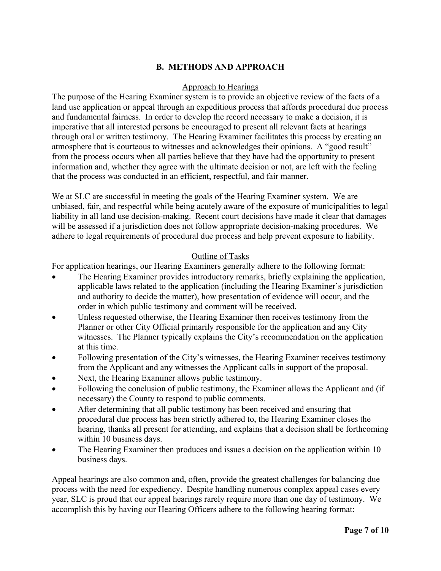## **B. METHODS AND APPROACH**

#### Approach to Hearings

The purpose of the Hearing Examiner system is to provide an objective review of the facts of a land use application or appeal through an expeditious process that affords procedural due process and fundamental fairness. In order to develop the record necessary to make a decision, it is imperative that all interested persons be encouraged to present all relevant facts at hearings through oral or written testimony. The Hearing Examiner facilitates this process by creating an atmosphere that is courteous to witnesses and acknowledges their opinions. A "good result" from the process occurs when all parties believe that they have had the opportunity to present information and, whether they agree with the ultimate decision or not, are left with the feeling that the process was conducted in an efficient, respectful, and fair manner.

We at SLC are successful in meeting the goals of the Hearing Examiner system. We are unbiased, fair, and respectful while being acutely aware of the exposure of municipalities to legal liability in all land use decision-making. Recent court decisions have made it clear that damages will be assessed if a jurisdiction does not follow appropriate decision-making procedures. We adhere to legal requirements of procedural due process and help prevent exposure to liability.

#### Outline of Tasks

For application hearings, our Hearing Examiners generally adhere to the following format:

- The Hearing Examiner provides introductory remarks, briefly explaining the application, applicable laws related to the application (including the Hearing Examiner's jurisdiction and authority to decide the matter), how presentation of evidence will occur, and the order in which public testimony and comment will be received.
- Unless requested otherwise, the Hearing Examiner then receives testimony from the Planner or other City Official primarily responsible for the application and any City witnesses. The Planner typically explains the City's recommendation on the application at this time.
- Following presentation of the City's witnesses, the Hearing Examiner receives testimony from the Applicant and any witnesses the Applicant calls in support of the proposal.
- Next, the Hearing Examiner allows public testimony.
- Following the conclusion of public testimony, the Examiner allows the Applicant and (if necessary) the County to respond to public comments.
- After determining that all public testimony has been received and ensuring that procedural due process has been strictly adhered to, the Hearing Examiner closes the hearing, thanks all present for attending, and explains that a decision shall be forthcoming within 10 business days.
- The Hearing Examiner then produces and issues a decision on the application within 10 business days.

Appeal hearings are also common and, often, provide the greatest challenges for balancing due process with the need for expediency. Despite handling numerous complex appeal cases every year, SLC is proud that our appeal hearings rarely require more than one day of testimony. We accomplish this by having our Hearing Officers adhere to the following hearing format: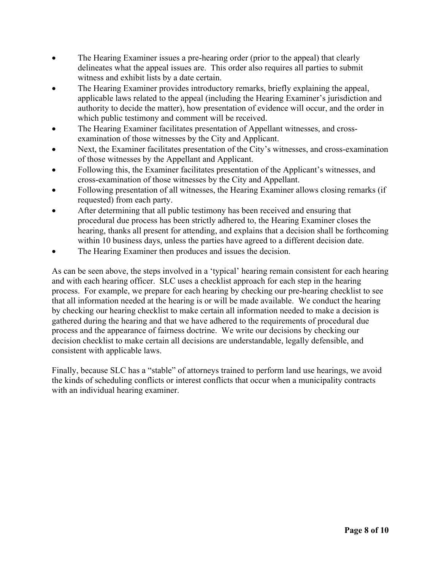- The Hearing Examiner issues a pre-hearing order (prior to the appeal) that clearly delineates what the appeal issues are. This order also requires all parties to submit witness and exhibit lists by a date certain.
- The Hearing Examiner provides introductory remarks, briefly explaining the appeal, applicable laws related to the appeal (including the Hearing Examiner's jurisdiction and authority to decide the matter), how presentation of evidence will occur, and the order in which public testimony and comment will be received.
- The Hearing Examiner facilitates presentation of Appellant witnesses, and crossexamination of those witnesses by the City and Applicant.
- Next, the Examiner facilitates presentation of the City's witnesses, and cross-examination of those witnesses by the Appellant and Applicant.
- Following this, the Examiner facilitates presentation of the Applicant's witnesses, and cross-examination of those witnesses by the City and Appellant.
- Following presentation of all witnesses, the Hearing Examiner allows closing remarks (if requested) from each party.
- After determining that all public testimony has been received and ensuring that procedural due process has been strictly adhered to, the Hearing Examiner closes the hearing, thanks all present for attending, and explains that a decision shall be forthcoming within 10 business days, unless the parties have agreed to a different decision date.
- The Hearing Examiner then produces and issues the decision.

As can be seen above, the steps involved in a 'typical' hearing remain consistent for each hearing and with each hearing officer. SLC uses a checklist approach for each step in the hearing process. For example, we prepare for each hearing by checking our pre-hearing checklist to see that all information needed at the hearing is or will be made available. We conduct the hearing by checking our hearing checklist to make certain all information needed to make a decision is gathered during the hearing and that we have adhered to the requirements of procedural due process and the appearance of fairness doctrine. We write our decisions by checking our decision checklist to make certain all decisions are understandable, legally defensible, and consistent with applicable laws.

Finally, because SLC has a "stable" of attorneys trained to perform land use hearings, we avoid the kinds of scheduling conflicts or interest conflicts that occur when a municipality contracts with an individual hearing examiner.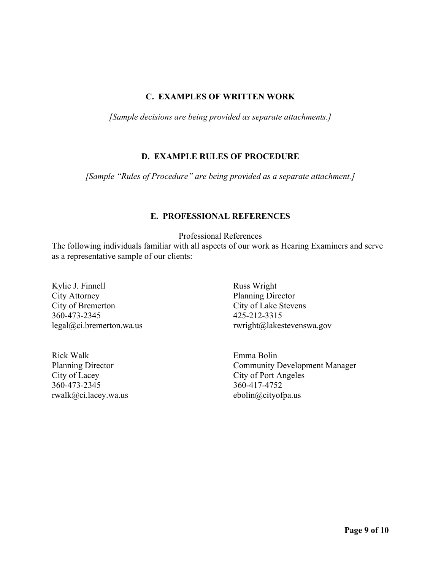#### **C. EXAMPLES OF WRITTEN WORK**

*[Sample decisions are being provided as separate attachments.]* 

#### **D. EXAMPLE RULES OF PROCEDURE**

*[Sample "Rules of Procedure" are being provided as a separate attachment.]* 

## **E. PROFESSIONAL REFERENCES**

Professional References

The following individuals familiar with all aspects of our work as Hearing Examiners and serve as a representative sample of our clients:

Kylie J. Finnell Russ Wright City Attorney Planning Director City of Bremerton City of Lake Stevens 360-473-2345 425-212-3315

Rick Walk **Emma** Bolin City of Lacey City of Port Angeles 360-473-2345 360-417-4752 rwalk@ci.lacey.wa.us ebolin@cityofpa.us

legal@ci.bremerton.wa.us rwright@lakestevenswa.gov

Planning Director Community Development Manager